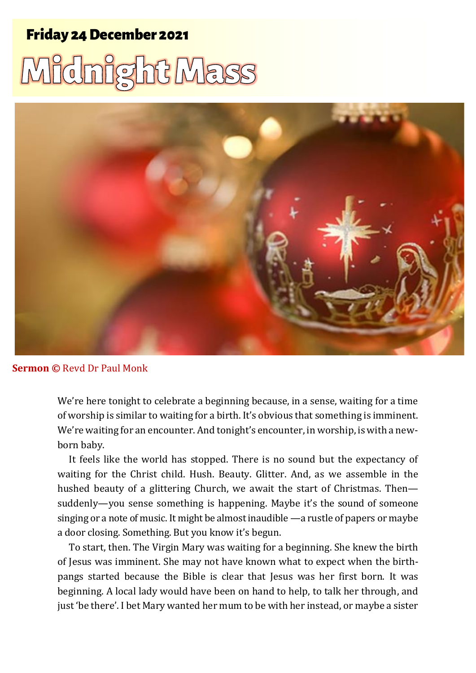## Carol Service 1 12/15 December 2021 Friday 24 December 2021

## Midnight Mass



## **Sermon ©** Revd Dr Paul Monk

We're here tonight to celebrate a beginning because, in a sense, waiting for a time of worship is similar to waiting for a birth. It's obvious that something is imminent. We're waiting for an encounter. And tonight's encounter, in worship, is with a newborn baby.

It feels like the world has stopped. There is no sound but the expectancy of waiting for the Christ child. Hush. Beauty. Glitter. And, as we assemble in the hushed beauty of a glittering Church, we await the start of Christmas. Then suddenly—you sense something is happening. Maybe it's the sound of someone singing or a note of music. It might be almost inaudible —a rustle of papers or maybe a door closing. Something. But you know it's begun.

To start, then. The Virgin Mary was waiting for a beginning. She knew the birth of Jesus was imminent. She may not have known what to expect when the birthpangs started because the Bible is clear that Jesus was her first born. It was beginning. A local lady would have been on hand to help, to talk her through, and just 'be there'. I bet Mary wanted her mum to be with her instead, or maybe a sister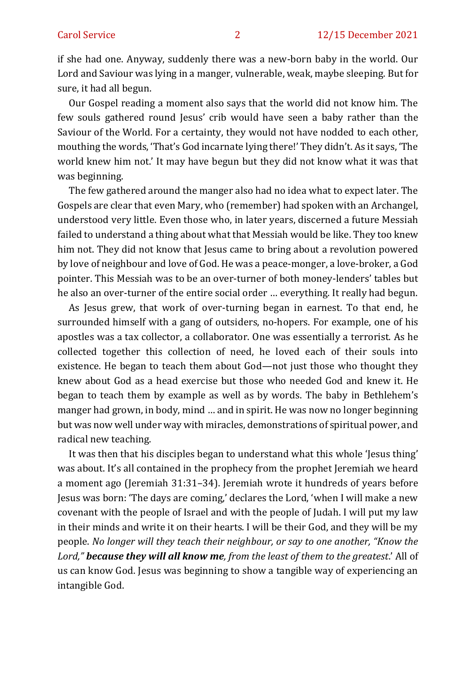if she had one. Anyway, suddenly there was a new-born baby in the world. Our Lord and Saviour was lying in a manger, vulnerable, weak, maybe sleeping. But for sure, it had all begun.

Our Gospel reading a moment also says that the world did not know him. The few souls gathered round Jesus' crib would have seen a baby rather than the Saviour of the World. For a certainty, they would not have nodded to each other, mouthing the words, 'That's God incarnate lying there!' They didn't. As it says, 'The world knew him not.' It may have begun but they did not know what it was that was beginning.

The few gathered around the manger also had no idea what to expect later. The Gospels are clear that even Mary, who (remember) had spoken with an Archangel, understood very little. Even those who, in later years, discerned a future Messiah failed to understand a thing about what that Messiah would be like. They too knew him not. They did not know that Jesus came to bring about a revolution powered by love of neighbour and love of God. He was a peace-monger, a love-broker, a God pointer. This Messiah was to be an over-turner of both money-lenders' tables but he also an over-turner of the entire social order … everything. It really had begun.

As Jesus grew, that work of over-turning began in earnest. To that end, he surrounded himself with a gang of outsiders, no-hopers. For example, one of his apostles was a tax collector, a collaborator. One was essentially a terrorist. As he collected together this collection of need, he loved each of their souls into existence. He began to teach them about God—not just those who thought they knew about God as a head exercise but those who needed God and knew it. He began to teach them by example as well as by words. The baby in Bethlehem's manger had grown, in body, mind … and in spirit. He was now no longer beginning but was now well under way with miracles, demonstrations of spiritual power, and radical new teaching.

It was then that his disciples began to understand what this whole 'Jesus thing' was about. It's all contained in the prophecy from the prophet Jeremiah we heard a moment ago (Jeremiah 31:31–34). Jeremiah wrote it hundreds of years before Jesus was born: 'The days are coming,' declares the Lord, 'when I will make a new covenant with the people of Israel and with the people of Judah. I will put my law in their minds and write it on their hearts. I will be their God, and they will be my people. *No longer will they teach their neighbour, or say to one another, "Know the Lord," because they will all know me, from the least of them to the greatest*.' All of us can know God. Jesus was beginning to show a tangible way of experiencing an intangible God.